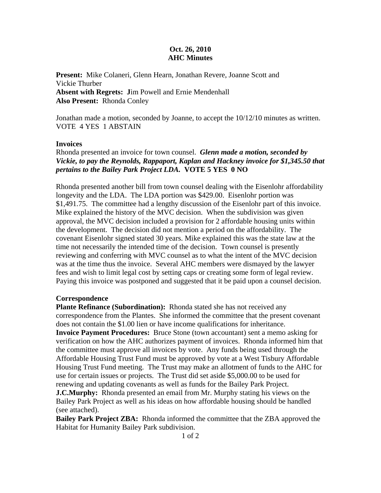## **Oct. 26, 2010 AHC Minutes**

**Present:** Mike Colaneri, Glenn Hearn, Jonathan Revere, Joanne Scott and Vickie Thurber **Absent with Regrets: J**im Powell and Ernie Mendenhall **Also Present:** Rhonda Conley

Jonathan made a motion, seconded by Joanne, to accept the 10/12/10 minutes as written. VOTE 4 YES 1 ABSTAIN

## **Invoices**

Rhonda presented an invoice for town counsel. *Glenn made a motion, seconded by Vickie, to pay the Reynolds, Rappaport, Kaplan and Hackney invoice for \$1,345.50 that pertains to the Bailey Park Project LDA.* **VOTE 5 YES 0 NO** 

Rhonda presented another bill from town counsel dealing with the Eisenlohr affordability longevity and the LDA. The LDA portion was \$429.00. Eisenlohr portion was \$1,491.75. The committee had a lengthy discussion of the Eisenlohr part of this invoice. Mike explained the history of the MVC decision. When the subdivision was given approval, the MVC decision included a provision for 2 affordable housing units within the development. The decision did not mention a period on the affordability. The covenant Eisenlohr signed stated 30 years. Mike explained this was the state law at the time not necessarily the intended time of the decision. Town counsel is presently reviewing and conferring with MVC counsel as to what the intent of the MVC decision was at the time thus the invoice. Several AHC members were dismayed by the lawyer fees and wish to limit legal cost by setting caps or creating some form of legal review. Paying this invoice was postponed and suggested that it be paid upon a counsel decision.

#### **Correspondence**

**Plante Refinance (Subordination):** Rhonda stated she has not received any correspondence from the Plantes. She informed the committee that the present covenant does not contain the \$1.00 lien or have income qualifications for inheritance. **Invoice Payment Procedures:** Bruce Stone (town accountant) sent a memo asking for verification on how the AHC authorizes payment of invoices. Rhonda informed him that the committee must approve all invoices by vote. Any funds being used through the Affordable Housing Trust Fund must be approved by vote at a West Tisbury Affordable Housing Trust Fund meeting. The Trust may make an allotment of funds to the AHC for use for certain issues or projects. The Trust did set aside \$5,000.00 to be used for renewing and updating covenants as well as funds for the Bailey Park Project.

**J.C.Murphy:** Rhonda presented an email from Mr. Murphy stating his views on the Bailey Park Project as well as his ideas on how affordable housing should be handled (see attached).

**Bailey Park Project ZBA:** Rhonda informed the committee that the ZBA approved the Habitat for Humanity Bailey Park subdivision.